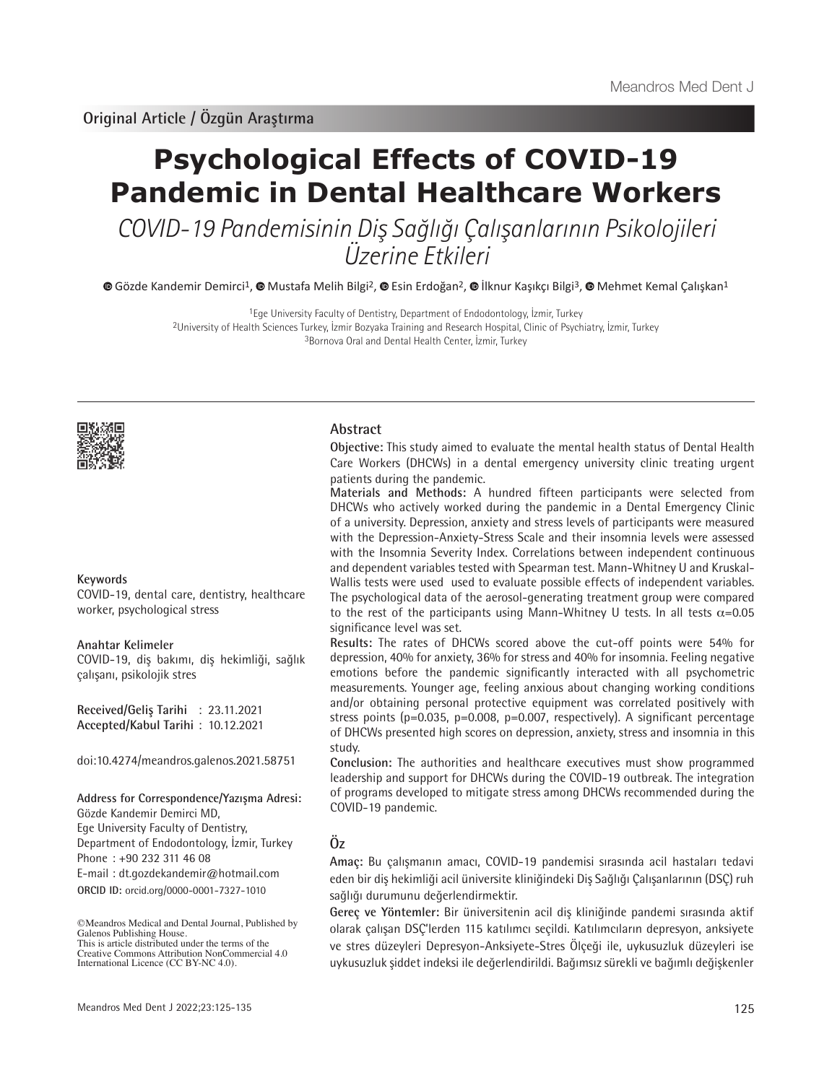# **Psychological Effects of COVID-19 Pandemic in Dental Healthcare Workers**

COVID-19 Pandemisinin Diş Sağlığı Çalışanlarının Psikolojileri Üzerine Etkileri

 $\bullet$ Gözde Kandemir Demirci<sup>1</sup>[,](https://orcid.org/0000-0002-2170-3624)  $\bullet$  Mustafa Melih Bilgi<sup>2</sup>,  $\bullet$  Esin Erdoğan<sup>2</sup>,  $\bullet$  İlknur Kaşıkçı Bilgi<sup>3</sup>,  $\bullet$  Mehmet Kemal Calışkan<sup>1</sup>

1Ege University Faculty of Dentistry, Department of Endodontology, İzmir, Turkey 2University of Health Sciences Turkey, İzmir Bozyaka Training and Research Hospital, Clinic of Psychiatry, İzmir, Turkey 3Bornova Oral and Dental Health Center, İzmir, Turkey



#### **Keywords**

COVID-19, dental care, dentistry, healthcare worker, psychological stress

#### **Anahtar Kelimeler**

COVID-19, diş bakımı, diş hekimliği, sağlık çalışanı, psikolojik stres

**Received/Geliş Tarihi** : 23.11.2021 **Accepted/Kabul Tarihi** : 10.12.2021

doi:10.4274/meandros.galenos.2021.58751

#### **Address for Correspondence/Yazışma Adresi:**

**ORCID ID:** orcid.org/0000-0001-7327-1010 Gözde Kandemir Demirci MD, Ege University Faculty of Dentistry, Department of Endodontology, İzmir, Turkey Phone : +90 232 311 46 08 E-mail : dt.gozdekandemir@hotmail.com

#### **Abstract**

**Objective:** This study aimed to evaluate the mental health status of Dental Health Care Workers (DHCWs) in a dental emergency university clinic treating urgent patients during the pandemic.

**Materials and Methods:** A hundred fifteen participants were selected from DHCWs who actively worked during the pandemic in a Dental Emergency Clinic of a university. Depression, anxiety and stress levels of participants were measured with the Depression-Anxiety-Stress Scale and their insomnia levels were assessed with the Insomnia Severity Index. Correlations between independent continuous and dependent variables tested with Spearman test. Mann-Whitney U and Kruskal-Wallis tests were used used to evaluate possible effects of independent variables. The psychological data of the aerosol-generating treatment group were compared to the rest of the participants using Mann-Whitney U tests. In all tests  $\alpha$ =0.05 significance level was set.

**Results:** The rates of DHCWs scored above the cut-off points were 54% for depression, 40% for anxiety, 36% for stress and 40% for insomnia. Feeling negative emotions before the pandemic significantly interacted with all psychometric measurements. Younger age, feeling anxious about changing working conditions and/or obtaining personal protective equipment was correlated positively with stress points  $(p=0.035, p=0.008, p=0.007, respectively)$ . A significant percentage of DHCWs presented high scores on depression, anxiety, stress and insomnia in this study.

**Conclusion:** The authorities and healthcare executives must show programmed leadership and support for DHCWs during the COVID-19 outbreak. The integration of programs developed to mitigate stress among DHCWs recommended during the COVID-19 pandemic.

# **Öz**

**Amaç:** Bu çalışmanın amacı, COVID-19 pandemisi sırasında acil hastaları tedavi eden bir diş hekimliği acil üniversite kliniğindeki Diş Sağlığı Çalışanlarının (DSÇ) ruh sağlığı durumunu değerlendirmektir.

**Gereç ve Yöntemler:** Bir üniversitenin acil diş kliniğinde pandemi sırasında aktif olarak çalışan DSÇ'lerden 115 katılımcı seçildi. Katılımcıların depresyon, anksiyete ve stres düzeyleri Depresyon-Anksiyete-Stres Ölçeği ile, uykusuzluk düzeyleri ise uykusuzluk şiddet indeksi ile değerlendirildi. Bağımsız sürekli ve bağımlı değişkenler

<sup>©</sup>Meandros Medical and Dental Journal, Published by Galenos Publishing House. This is article distributed under the terms of the

Creative Commons Attribution NonCommercial 4.0 International Licence (CC BY-NC 4.0).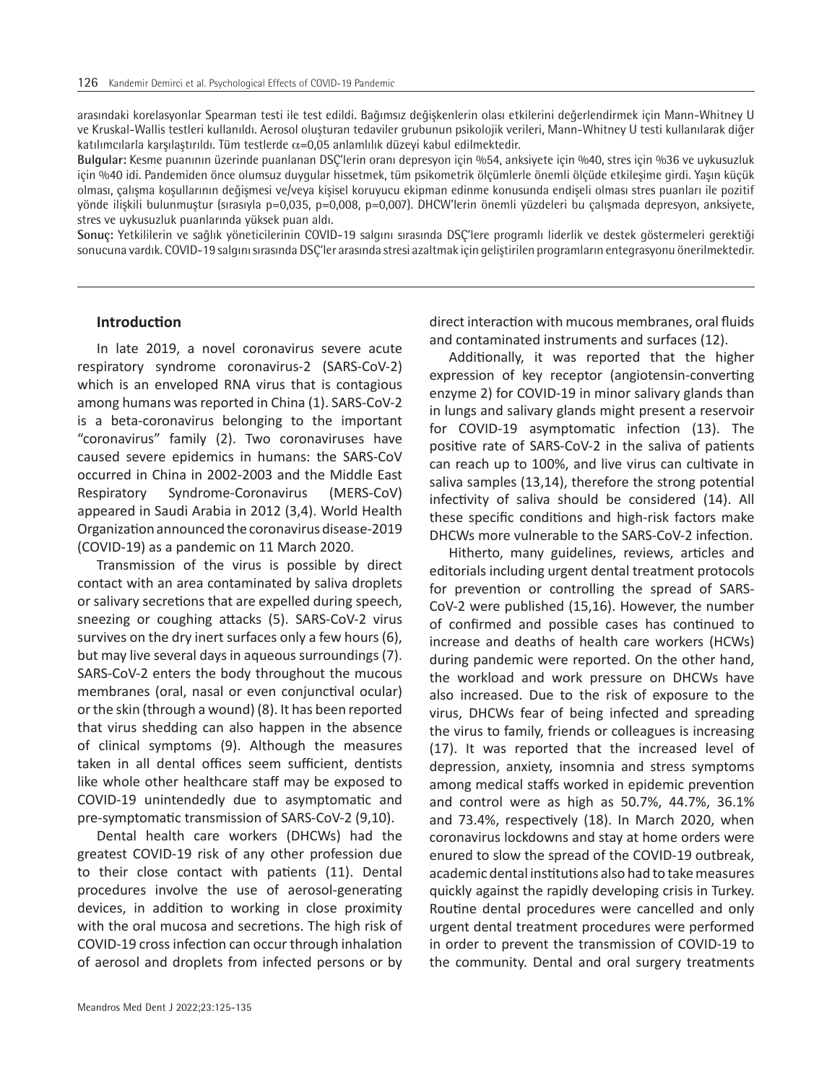arasındaki korelasyonlar Spearman testi ile test edildi. Bağımsız değişkenlerin olası etkilerini değerlendirmek için Mann-Whitney U ve Kruskal-Wallis testleri kullanıldı. Aerosol oluşturan tedaviler grubunun psikolojik verileri, Mann-Whitney U testi kullanılarak diğer katılımcılarla karşılaştırıldı. Tüm testlerde  $\alpha$ =0,05 anlamlılık düzeyi kabul edilmektedir.

**Bulgular:** Kesme puanının üzerinde puanlanan DSÇ'lerin oranı depresyon için %54, anksiyete için %40, stres için %36 ve uykusuzluk için %40 idi. Pandemiden önce olumsuz duygular hissetmek, tüm psikometrik ölçümlerle önemli ölçüde etkileşime girdi. Yaşın küçük olması, çalışma koşullarının değişmesi ve/veya kişisel koruyucu ekipman edinme konusunda endişeli olması stres puanları ile pozitif yönde ilişkili bulunmuştur (sırasıyla p=0,035, p=0,008, p=0,007). DHCW'lerin önemli yüzdeleri bu çalışmada depresyon, anksiyete, stres ve uykusuzluk puanlarında yüksek puan aldı.

**Sonuç:** Yetkililerin ve sağlık yöneticilerinin COVID-19 salgını sırasında DSÇ'lere programlı liderlik ve destek göstermeleri gerektiği sonucuna vardık. COVID-19 salgını sırasında DSÇ'ler arasında stresi azaltmak için geliştirilen programların entegrasyonu önerilmektedir.

#### **Introduction**

In late 2019, a novel coronavirus severe acute respiratory syndrome coronavirus-2 (SARS-CoV-2) which is an enveloped RNA virus that is contagious among humans was reported in China (1). SARS-CoV-2 is a beta-coronavirus belonging to the important "coronavirus" family (2). Two coronaviruses have caused severe epidemics in humans: the SARS-CoV occurred in China in 2002-2003 and the Middle East Respiratory Syndrome-Coronavirus (MERS-CoV) appeared in Saudi Arabia in 2012 (3,4). World Health Organization announced the coronavirus disease-2019 (COVID-19) as a pandemic on 11 March 2020.

Transmission of the virus is possible by direct contact with an area contaminated by saliva droplets or salivary secretions that are expelled during speech, sneezing or coughing attacks (5). SARS-CoV-2 virus survives on the dry inert surfaces only a few hours (6), but may live several days in aqueous surroundings (7). SARS-CoV-2 enters the body throughout the mucous membranes (oral, nasal or even conjunctival ocular) or the skin (through a wound) (8). It has been reported that virus shedding can also happen in the absence of clinical symptoms (9). Although the measures taken in all dental offices seem sufficient, dentists like whole other healthcare staff may be exposed to COVID-19 unintendedly due to asymptomatic and pre-symptomatic transmission of SARS-CoV-2 (9,10).

Dental health care workers (DHCWs) had the greatest COVID-19 risk of any other profession due to their close contact with patients (11). Dental procedures involve the use of aerosol-generating devices, in addition to working in close proximity with the oral mucosa and secretions. The high risk of COVID-19 cross infection can occur through inhalation of aerosol and droplets from infected persons or by direct interaction with mucous membranes, oral fluids and contaminated instruments and surfaces (12).

Additionally, it was reported that the higher expression of key receptor (angiotensin-converting enzyme 2) for COVID-19 in minor salivary glands than in lungs and salivary glands might present a reservoir for COVID-19 asymptomatic infection (13). The positive rate of SARS-CoV-2 in the saliva of patients can reach up to 100%, and live virus can cultivate in saliva samples (13,14), therefore the strong potential infectivity of saliva should be considered (14). All these specific conditions and high-risk factors make DHCWs more vulnerable to the SARS-CoV-2 infection.

Hitherto, many guidelines, reviews, articles and editorials including urgent dental treatment protocols for prevention or controlling the spread of SARS-CoV-2 were published (15,16). However, the number of confirmed and possible cases has continued to increase and deaths of health care workers (HCWs) during pandemic were reported. On the other hand, the workload and work pressure on DHCWs have also increased. Due to the risk of exposure to the virus, DHCWs fear of being infected and spreading the virus to family, friends or colleagues is increasing (17). It was reported that the increased level of depression, anxiety, insomnia and stress symptoms among medical staffs worked in epidemic prevention and control were as high as 50.7%, 44.7%, 36.1% and 73.4%, respectively (18). In March 2020, when coronavirus lockdowns and stay at home orders were enured to slow the spread of the COVID-19 outbreak, academic dental institutions also had to take measures quickly against the rapidly developing crisis in Turkey. Routine dental procedures were cancelled and only urgent dental treatment procedures were performed in order to prevent the transmission of COVID-19 to the community. Dental and oral surgery treatments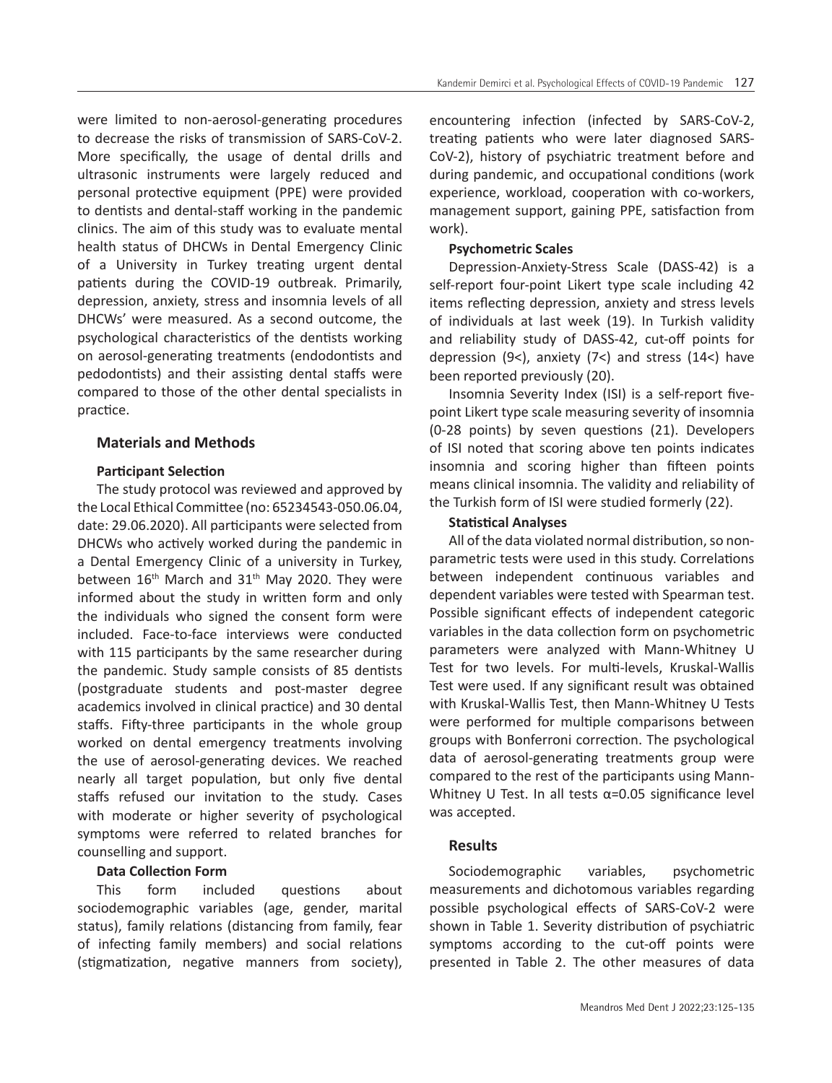were limited to non-aerosol-generating procedures to decrease the risks of transmission of SARS-CoV-2. More specifically, the usage of dental drills and ultrasonic instruments were largely reduced and personal protective equipment (PPE) were provided to dentists and dental-staff working in the pandemic clinics. The aim of this study was to evaluate mental health status of DHCWs in Dental Emergency Clinic of a University in Turkey treating urgent dental patients during the COVID-19 outbreak. Primarily, depression, anxiety, stress and insomnia levels of all DHCWs' were measured. As a second outcome, the psychological characteristics of the dentists working on aerosol-generating treatments (endodontists and pedodontists) and their assisting dental staffs were compared to those of the other dental specialists in practice.

# **Materials and Methods**

# **Participant Selection**

The study protocol was reviewed and approved by the Local Ethical Committee (no: 65234543-050.06.04, date: 29.06.2020). All participants were selected from DHCWs who actively worked during the pandemic in a Dental Emergency Clinic of a university in Turkey, between  $16<sup>th</sup>$  March and  $31<sup>th</sup>$  May 2020. They were informed about the study in written form and only the individuals who signed the consent form were included. Face-to-face interviews were conducted with 115 participants by the same researcher during the pandemic. Study sample consists of 85 dentists (postgraduate students and post-master degree academics involved in clinical practice) and 30 dental staffs. Fifty-three participants in the whole group worked on dental emergency treatments involving the use of aerosol-generating devices. We reached nearly all target population, but only five dental staffs refused our invitation to the study. Cases with moderate or higher severity of psychological symptoms were referred to related branches for counselling and support.

# **Data Collection Form**

This form included questions about sociodemographic variables (age, gender, marital status), family relations (distancing from family, fear of infecting family members) and social relations (stigmatization, negative manners from society),

encountering infection (infected by SARS-CoV-2, treating patients who were later diagnosed SARS-CoV-2), history of psychiatric treatment before and during pandemic, and occupational conditions (work experience, workload, cooperation with co-workers, management support, gaining PPE, satisfaction from work).

# **Psychometric Scales**

Depression-Anxiety-Stress Scale (DASS-42) is a self-report four-point Likert type scale including 42 items reflecting depression, anxiety and stress levels of individuals at last week (19). In Turkish validity and reliability study of DASS-42, cut-off points for depression (9<), anxiety (7<) and stress (14<) have been reported previously (20).

Insomnia Severity Index (ISI) is a self-report fivepoint Likert type scale measuring severity of insomnia (0-28 points) by seven questions (21). Developers of ISI noted that scoring above ten points indicates insomnia and scoring higher than fifteen points means clinical insomnia. The validity and reliability of the Turkish form of ISI were studied formerly (22).

# **Statistical Analyses**

All of the data violated normal distribution, so nonparametric tests were used in this study. Correlations between independent continuous variables and dependent variables were tested with Spearman test. Possible significant effects of independent categoric variables in the data collection form on psychometric parameters were analyzed with Mann-Whitney U Test for two levels. For multi-levels, Kruskal-Wallis Test were used. If any significant result was obtained with Kruskal-Wallis Test, then Mann-Whitney U Tests were performed for multiple comparisons between groups with Bonferroni correction. The psychological data of aerosol-generating treatments group were compared to the rest of the participants using Mann-Whitney U Test. In all tests  $\alpha$ =0.05 significance level was accepted.

# **Results**

Sociodemographic variables, psychometric measurements and dichotomous variables regarding possible psychological effects of SARS-CoV-2 were shown in Table 1. Severity distribution of psychiatric symptoms according to the cut-off points were presented in Table 2. The other measures of data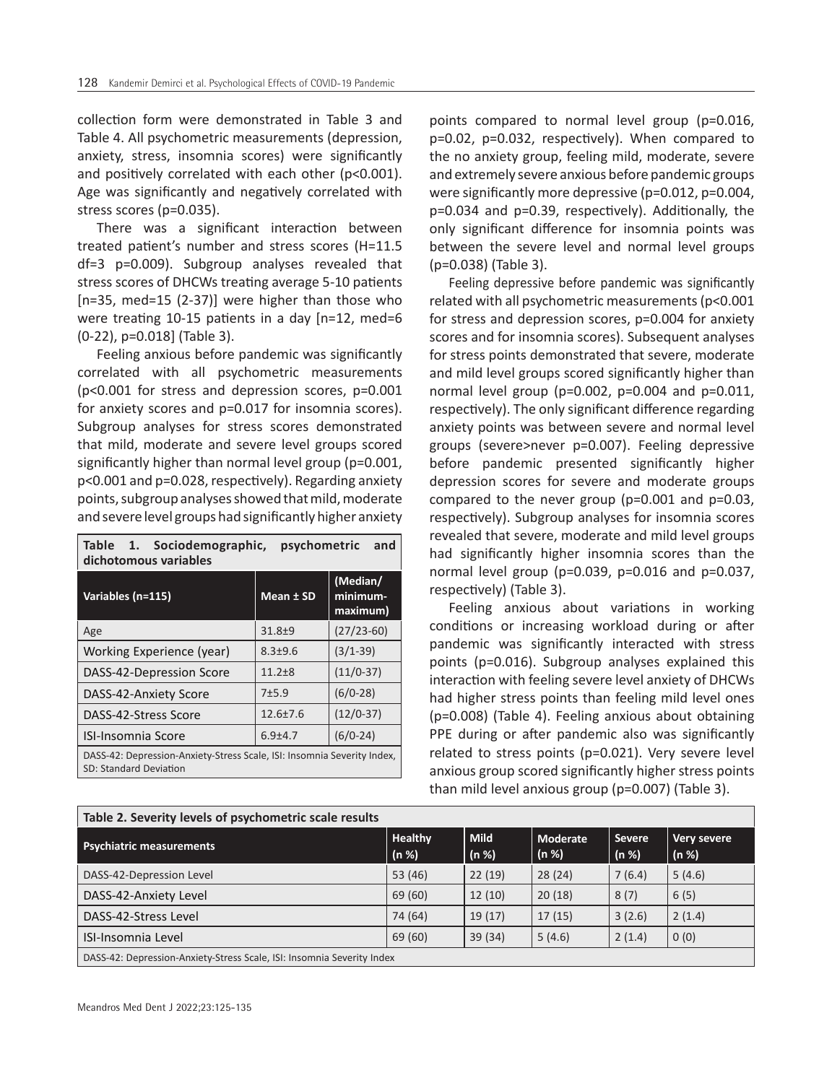collection form were demonstrated in Table 3 and Table 4. All psychometric measurements (depression, anxiety, stress, insomnia scores) were significantly and positively correlated with each other (p<0.001). Age was significantly and negatively correlated with stress scores (p=0.035).

There was a significant interaction between treated patient's number and stress scores (H=11.5 df=3 p=0.009). Subgroup analyses revealed that stress scores of DHCWs treating average 5-10 patients [n=35, med=15 (2-37)] were higher than those who were treating 10-15 patients in a day [n=12, med=6 (0-22), p=0.018] (Table 3).

Feeling anxious before pandemic was significantly correlated with all psychometric measurements (p<0.001 for stress and depression scores, p=0.001 for anxiety scores and p=0.017 for insomnia scores). Subgroup analyses for stress scores demonstrated that mild, moderate and severe level groups scored significantly higher than normal level group (p=0.001, p<0.001 and p=0.028, respectively). Regarding anxiety points, subgroup analyses showed that mild, moderate and severe level groups had significantly higher anxiety

| Table 1. Sociodemographic,<br>psychometric<br>and<br>dichotomous variables                        |                |                                  |  |  |  |
|---------------------------------------------------------------------------------------------------|----------------|----------------------------------|--|--|--|
| Variables (n=115)                                                                                 | Mean ± SD      | (Median/<br>minimum-<br>maximum) |  |  |  |
| Age                                                                                               | $31.8 + 9$     | $(27/23-60)$                     |  |  |  |
| Working Experience (year)                                                                         | $8.3 + 9.6$    | $(3/1-39)$                       |  |  |  |
| DASS-42-Depression Score                                                                          | $11.2 + 8$     | $(11/0-37)$                      |  |  |  |
| DASS-42-Anxiety Score                                                                             | $7+5.9$        | $(6/0-28)$                       |  |  |  |
| DASS-42-Stress Score                                                                              | $12.6 \pm 7.6$ | $(12/0-37)$                      |  |  |  |
| <b>ISI-Insomnia Score</b>                                                                         | $6.9 + 4.7$    | $(6/0-24)$                       |  |  |  |
| DASS-42: Depression-Anxiety-Stress Scale, ISI: Insomnia Severity Index,<br>SD: Standard Deviation |                |                                  |  |  |  |

points compared to normal level group (p=0.016, p=0.02, p=0.032, respectively). When compared to the no anxiety group, feeling mild, moderate, severe and extremely severe anxious before pandemic groups were significantly more depressive (p=0.012, p=0.004, p=0.034 and p=0.39, respectively). Additionally, the only significant difference for insomnia points was between the severe level and normal level groups (p=0.038) (Table 3).

Feeling depressive before pandemic was significantly related with all psychometric measurements (p<0.001 for stress and depression scores, p=0.004 for anxiety scores and for insomnia scores). Subsequent analyses for stress points demonstrated that severe, moderate and mild level groups scored significantly higher than normal level group ( $p=0.002$ ,  $p=0.004$  and  $p=0.011$ , respectively). The only significant difference regarding anxiety points was between severe and normal level groups (severe>never p=0.007). Feeling depressive before pandemic presented significantly higher depression scores for severe and moderate groups compared to the never group (p=0.001 and p=0.03, respectively). Subgroup analyses for insomnia scores revealed that severe, moderate and mild level groups had significantly higher insomnia scores than the normal level group (p=0.039, p=0.016 and p=0.037, respectively) (Table 3).

Feeling anxious about variations in working conditions or increasing workload during or after pandemic was significantly interacted with stress points (p=0.016). Subgroup analyses explained this interaction with feeling severe level anxiety of DHCWs had higher stress points than feeling mild level ones (p=0.008) (Table 4). Feeling anxious about obtaining PPE during or after pandemic also was significantly related to stress points (p=0.021). Very severe level anxious group scored significantly higher stress points than mild level anxious group (p=0.007) (Table 3).

| Table 2. Severity levels of psychometric scale results                 |                         |                      |                   |                   |                      |  |
|------------------------------------------------------------------------|-------------------------|----------------------|-------------------|-------------------|----------------------|--|
| <b>Psychiatric measurements</b>                                        | <b>Healthy</b><br>(n %) | <b>Mild</b><br>(n %) | Moderate<br>(n %) | l Severe<br>(n %) | Very severe<br>(n %) |  |
| DASS-42-Depression Level                                               | 53 (46)                 | 22(19)               | 28(24)            | 7(6.4)            | 5(4.6)               |  |
| DASS-42-Anxiety Level                                                  | 69 (60)                 | 12(10)               | 20(18)            | 8(7)              | 6(5)                 |  |
| DASS-42-Stress Level                                                   | 74 (64)                 | 19(17)               | 17(15)            | 3(2.6)            | 2(1.4)               |  |
| <b>ISI-Insomnia Level</b>                                              | 69 (60)                 | 39(34)               | 5(4.6)            | 2(1.4)            | 0(0)                 |  |
| DASS-42: Depression-Anxiety-Stress Scale, ISI: Insomnia Severity Index |                         |                      |                   |                   |                      |  |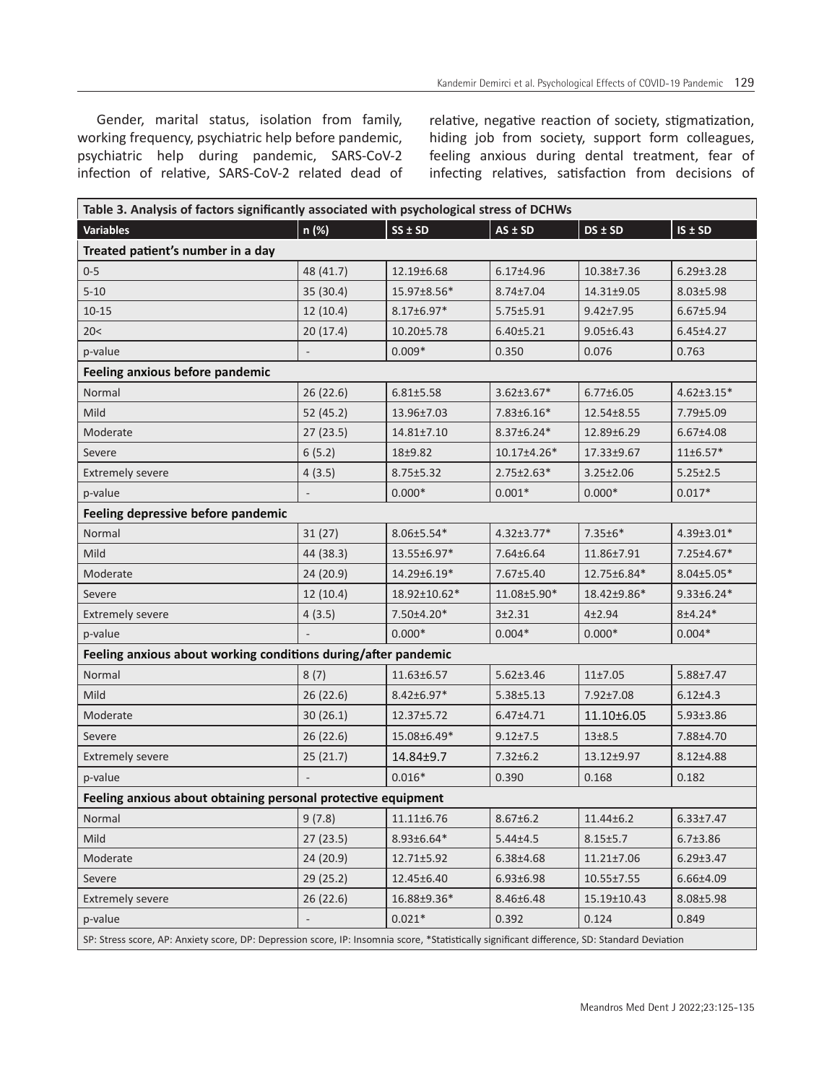Gender, marital status, isolation from family, working frequency, psychiatric help before pandemic, psychiatric help during pandemic, SARS-CoV-2 infection of relative, SARS-CoV-2 related dead of

relative, negative reaction of society, stigmatization, hiding job from society, support form colleagues, feeling anxious during dental treatment, fear of infecting relatives, satisfaction from decisions of

| Table 3. Analysis of factors significantly associated with psychological stress of DCHWs                                                     |           |                  |                  |                  |                  |  |  |
|----------------------------------------------------------------------------------------------------------------------------------------------|-----------|------------------|------------------|------------------|------------------|--|--|
| <b>Variables</b>                                                                                                                             | n (%)     | $SS \pm SD$      | $AS \pm SD$      | DS ± SD          | $IS \pm SD$      |  |  |
| Treated patient's number in a day                                                                                                            |           |                  |                  |                  |                  |  |  |
| $0 - 5$                                                                                                                                      | 48 (41.7) | 12.19±6.68       | $6.17 \pm 4.96$  | 10.38±7.36       | $6.29 \pm 3.28$  |  |  |
| $5 - 10$                                                                                                                                     | 35 (30.4) | 15.97±8.56*      | 8.74±7.04        | 14.31±9.05       | $8.03 \pm 5.98$  |  |  |
| $10 - 15$                                                                                                                                    | 12(10.4)  | $8.17 \pm 6.97*$ | 5.75±5.91        | $9.42 \pm 7.95$  | $6.67 \pm 5.94$  |  |  |
| 20<                                                                                                                                          | 20(17.4)  | $10.20 \pm 5.78$ | 6.40±5.21        | $9.05 \pm 6.43$  | $6.45 \pm 4.27$  |  |  |
| p-value                                                                                                                                      |           | $0.009*$         | 0.350            | 0.076            | 0.763            |  |  |
| Feeling anxious before pandemic                                                                                                              |           |                  |                  |                  |                  |  |  |
| Normal                                                                                                                                       | 26 (22.6) | $6.81 \pm 5.58$  | $3.62 \pm 3.67*$ | $6.77 \pm 6.05$  | $4.62 \pm 3.15*$ |  |  |
| Mild                                                                                                                                         | 52 (45.2) | 13.96±7.03       | $7.83 \pm 6.16*$ | 12.54±8.55       | 7.79±5.09        |  |  |
| Moderate                                                                                                                                     | 27(23.5)  | 14.81±7.10       | 8.37±6.24*       | 12.89±6.29       | $6.67 \pm 4.08$  |  |  |
| Severe                                                                                                                                       | 6(5.2)    | 18±9.82          | 10.17±4.26*      | 17.33±9.67       | $11 \pm 6.57*$   |  |  |
| <b>Extremely severe</b>                                                                                                                      | 4(3.5)    | $8.75 \pm 5.32$  | $2.75 \pm 2.63*$ | $3.25 \pm 2.06$  | $5.25 \pm 2.5$   |  |  |
| p-value                                                                                                                                      |           | $0.000*$         | $0.001*$         | $0.000*$         | $0.017*$         |  |  |
| Feeling depressive before pandemic                                                                                                           |           |                  |                  |                  |                  |  |  |
| Normal                                                                                                                                       | 31(27)    | 8.06±5.54*       | $4.32 \pm 3.77*$ | 7.35±6*          | 4.39±3.01*       |  |  |
| Mild                                                                                                                                         | 44 (38.3) | 13.55±6.97*      | 7.64±6.64        | 11.86±7.91       | 7.25±4.67*       |  |  |
| Moderate                                                                                                                                     | 24(20.9)  | 14.29±6.19*      | 7.67±5.40        | 12.75±6.84*      | $8.04 \pm 5.05*$ |  |  |
| Severe                                                                                                                                       | 12(10.4)  | 18.92±10.62*     | 11.08±5.90*      | 18.42±9.86*      | $9.33 \pm 6.24*$ |  |  |
| <b>Extremely severe</b>                                                                                                                      | 4(3.5)    | 7.50±4.20*       | $3 + 2.31$       | $4 + 2.94$       | $8±4.24*$        |  |  |
| p-value                                                                                                                                      |           | $0.000*$         | $0.004*$         | $0.000*$         | $0.004*$         |  |  |
| Feeling anxious about working conditions during/after pandemic                                                                               |           |                  |                  |                  |                  |  |  |
| Normal                                                                                                                                       | 8(7)      | 11.63±6.57       | $5.62 \pm 3.46$  | 11±7.05          | 5.88±7.47        |  |  |
| Mild                                                                                                                                         | 26(22.6)  | $8.42 \pm 6.97*$ | $5.38 \pm 5.13$  | 7.92±7.08        | $6.12{\pm}4.3$   |  |  |
| Moderate                                                                                                                                     | 30(26.1)  | 12.37±5.72       | $6.47 \pm 4.71$  | 11.10±6.05       | $5.93 \pm 3.86$  |  |  |
| Severe                                                                                                                                       | 26(22.6)  | 15.08±6.49*      | $9.12 + 7.5$     | $13 + 8.5$       | 7.88±4.70        |  |  |
| <b>Extremely severe</b>                                                                                                                      | 25(21.7)  | 14.84±9.7        | $7.32 \pm 6.2$   | 13.12±9.97       | $8.12 \pm 4.88$  |  |  |
| p-value                                                                                                                                      |           | $0.016*$         | 0.390            | 0.168            | 0.182            |  |  |
| Feeling anxious about obtaining personal protective equipment                                                                                |           |                  |                  |                  |                  |  |  |
| Normal                                                                                                                                       | 9(7.8)    | 11.11±6.76       | $8.67 \pm 6.2$   | 11.44±6.2        | $6.33 \pm 7.47$  |  |  |
| Mild                                                                                                                                         | 27(23.5)  | 8.93±6.64*       | $5.44 \pm 4.5$   | $8.15 \pm 5.7$   | $6.7 \pm 3.86$   |  |  |
| Moderate                                                                                                                                     | 24 (20.9) | 12.71±5.92       | 6.38±4.68        | $11.21 \pm 7.06$ | $6.29 \pm 3.47$  |  |  |
| Severe                                                                                                                                       | 29(25.2)  | 12.45±6.40       | $6.93 \pm 6.98$  | $10.55 \pm 7.55$ | 6.66±4.09        |  |  |
| <b>Extremely severe</b>                                                                                                                      | 26(22.6)  | 16.88±9.36*      | 8.46±6.48        | 15.19±10.43      | 8.08±5.98        |  |  |
| p-value                                                                                                                                      |           | $0.021*$         | 0.392            | 0.124            | 0.849            |  |  |
| SP: Stress score, AP: Anxiety score, DP: Depression score, IP: Insomnia score, *Statistically significant difference, SD: Standard Deviation |           |                  |                  |                  |                  |  |  |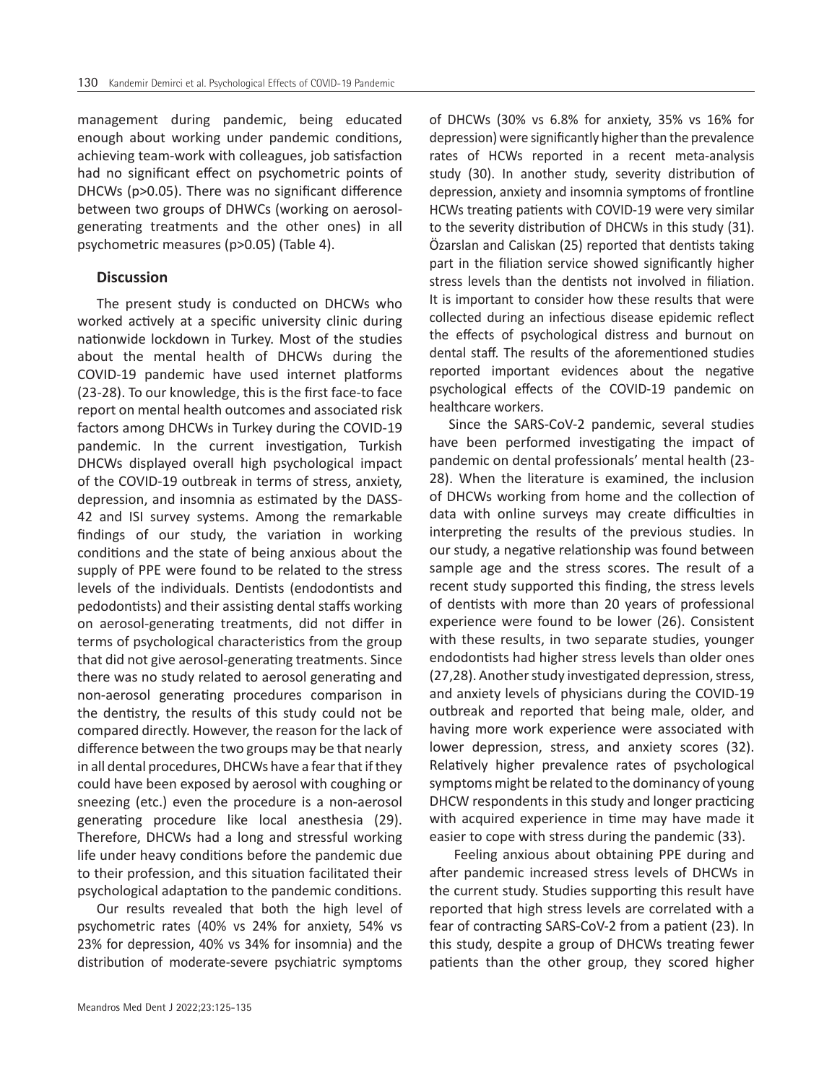management during pandemic, being educated enough about working under pandemic conditions, achieving team-work with colleagues, job satisfaction had no significant effect on psychometric points of DHCWs (p>0.05). There was no significant difference between two groups of DHWCs (working on aerosolgenerating treatments and the other ones) in all psychometric measures (p>0.05) (Table 4).

#### **Discussion**

The present study is conducted on DHCWs who worked actively at a specific university clinic during nationwide lockdown in Turkey. Most of the studies about the mental health of DHCWs during the COVID-19 pandemic have used internet platforms (23-28). To our knowledge, this is the first face-to face report on mental health outcomes and associated risk factors among DHCWs in Turkey during the COVID-19 pandemic. In the current investigation, Turkish DHCWs displayed overall high psychological impact of the COVID-19 outbreak in terms of stress, anxiety, depression, and insomnia as estimated by the DASS-42 and ISI survey systems. Among the remarkable findings of our study, the variation in working conditions and the state of being anxious about the supply of PPE were found to be related to the stress levels of the individuals. Dentists (endodontists and pedodontists) and their assisting dental staffs working on aerosol-generating treatments, did not differ in terms of psychological characteristics from the group that did not give aerosol-generating treatments. Since there was no study related to aerosol generating and non-aerosol generating procedures comparison in the dentistry, the results of this study could not be compared directly. However, the reason for the lack of difference between the two groups may be that nearly in all dental procedures, DHCWs have a fear that if they could have been exposed by aerosol with coughing or sneezing (etc.) even the procedure is a non-aerosol generating procedure like local anesthesia (29). Therefore, DHCWs had a long and stressful working life under heavy conditions before the pandemic due to their profession, and this situation facilitated their psychological adaptation to the pandemic conditions.

Our results revealed that both the high level of psychometric rates (40% vs 24% for anxiety, 54% vs 23% for depression, 40% vs 34% for insomnia) and the distribution of moderate-severe psychiatric symptoms

of DHCWs (30% vs 6.8% for anxiety, 35% vs 16% for depression) were significantly higher than the prevalence rates of HCWs reported in a recent meta-analysis study (30). In another study, severity distribution of depression, anxiety and insomnia symptoms of frontline HCWs treating patients with COVID-19 were very similar to the severity distribution of DHCWs in this study (31). Özarslan and Caliskan (25) reported that dentists taking part in the filiation service showed significantly higher stress levels than the dentists not involved in filiation. It is important to consider how these results that were collected during an infectious disease epidemic reflect the effects of psychological distress and burnout on dental staff. The results of the aforementioned studies reported important evidences about the negative psychological effects of the COVID-19 pandemic on healthcare workers.

Since the SARS-CoV-2 pandemic, several studies have been performed investigating the impact of pandemic on dental professionals' mental health (23- 28). When the literature is examined, the inclusion of DHCWs working from home and the collection of data with online surveys may create difficulties in interpreting the results of the previous studies. In our study, a negative relationship was found between sample age and the stress scores. The result of a recent study supported this finding, the stress levels of dentists with more than 20 years of professional experience were found to be lower (26). Consistent with these results, in two separate studies, younger endodontists had higher stress levels than older ones (27,28). Another study investigated depression, stress, and anxiety levels of physicians during the COVID-19 outbreak and reported that being male, older, and having more work experience were associated with lower depression, stress, and anxiety scores (32). Relatively higher prevalence rates of psychological symptoms might be related to the dominancy of young DHCW respondents in this study and longer practicing with acquired experience in time may have made it easier to cope with stress during the pandemic (33).

 Feeling anxious about obtaining PPE during and after pandemic increased stress levels of DHCWs in the current study. Studies supporting this result have reported that high stress levels are correlated with a fear of contracting SARS-CoV-2 from a patient (23). In this study, despite a group of DHCWs treating fewer patients than the other group, they scored higher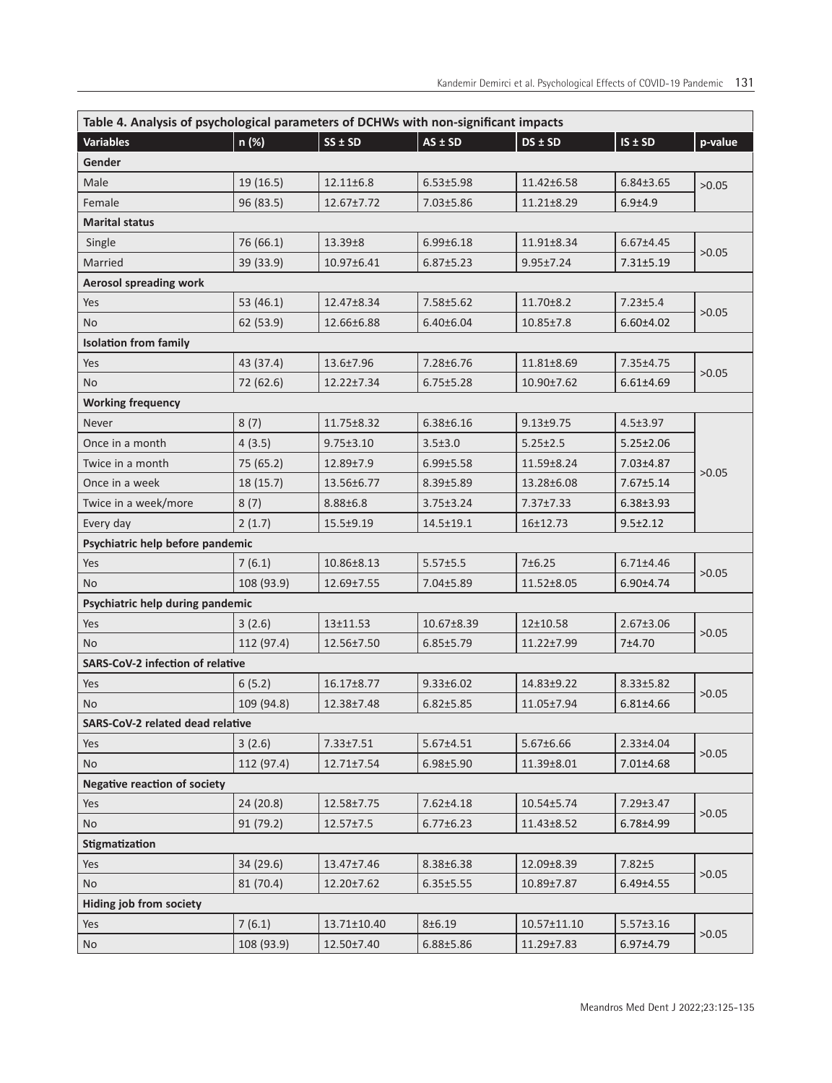| Table 4. Analysis of psychological parameters of DCHWs with non-significant impacts |            |                 |                 |                  |                 |         |  |  |
|-------------------------------------------------------------------------------------|------------|-----------------|-----------------|------------------|-----------------|---------|--|--|
| <b>Variables</b>                                                                    | n (%)      | $SS \pm SD$     | $AS \pm SD$     | $DS \pm SD$      | $IS \pm SD$     | p-value |  |  |
| Gender                                                                              |            |                 |                 |                  |                 |         |  |  |
| Male                                                                                | 19 (16.5)  | $12.11 \pm 6.8$ | $6.53 \pm 5.98$ | 11.42±6.58       | $6.84 \pm 3.65$ | >0.05   |  |  |
| Female                                                                              | 96 (83.5)  | 12.67±7.72      | $7.03 \pm 5.86$ | $11.21 \pm 8.29$ | $6.9 + 4.9$     |         |  |  |
| <b>Marital status</b>                                                               |            |                 |                 |                  |                 |         |  |  |
| Single                                                                              | 76 (66.1)  | 13.39±8         | $6.99 \pm 6.18$ | 11.91±8.34       | $6.67 \pm 4.45$ | >0.05   |  |  |
| Married                                                                             | 39 (33.9)  | 10.97±6.41      | $6.87 \pm 5.23$ | $9.95 \pm 7.24$  | $7.31 \pm 5.19$ |         |  |  |
| <b>Aerosol spreading work</b>                                                       |            |                 |                 |                  |                 |         |  |  |
| Yes                                                                                 | 53 (46.1)  | 12.47±8.34      | $7.58 \pm 5.62$ | $11.70 \pm 8.2$  | $7.23 \pm 5.4$  |         |  |  |
| No                                                                                  | 62 (53.9)  | 12.66±6.88      | $6.40 \pm 6.04$ | $10.85 \pm 7.8$  | $6.60 \pm 4.02$ | >0.05   |  |  |
| <b>Isolation from family</b>                                                        |            |                 |                 |                  |                 |         |  |  |
| Yes                                                                                 | 43 (37.4)  | 13.6±7.96       | 7.28±6.76       | 11.81±8.69       | 7.35±4.75       |         |  |  |
| No.                                                                                 | 72 (62.6)  | 12.22±7.34      | $6.75 \pm 5.28$ | 10.90±7.62       | $6.61 \pm 4.69$ | >0.05   |  |  |
| <b>Working frequency</b>                                                            |            |                 |                 |                  |                 |         |  |  |
| Never                                                                               | 8(7)       | 11.75±8.32      | $6.38 \pm 6.16$ | $9.13 \pm 9.75$  | $4.5 \pm 3.97$  |         |  |  |
| Once in a month                                                                     | 4(3.5)     | $9.75 \pm 3.10$ | $3.5 \pm 3.0$   | $5.25 \pm 2.5$   | $5.25 \pm 2.06$ |         |  |  |
| Twice in a month                                                                    | 75 (65.2)  | 12.89±7.9       | $6.99 \pm 5.58$ | 11.59±8.24       | 7.03±4.87       |         |  |  |
| Once in a week                                                                      | 18 (15.7)  | 13.56±6.77      | $8.39 \pm 5.89$ | 13.28±6.08       | 7.67±5.14       | >0.05   |  |  |
| Twice in a week/more                                                                | 8(7)       | $8.88 \pm 6.8$  | $3.75 \pm 3.24$ | $7.37 \pm 7.33$  | $6.38 \pm 3.93$ |         |  |  |
| Every day                                                                           | 2(1.7)     | $15.5 \pm 9.19$ | $14.5 \pm 19.1$ | 16±12.73         | $9.5 \pm 2.12$  |         |  |  |
| Psychiatric help before pandemic                                                    |            |                 |                 |                  |                 |         |  |  |
| Yes                                                                                 | 7(6.1)     | 10.86±8.13      | 5.57±5.5        | 7±6.25           | $6.71 \pm 4.46$ |         |  |  |
| <b>No</b>                                                                           | 108 (93.9) | 12.69±7.55      | 7.04±5.89       | 11.52±8.05       | $6.90 \pm 4.74$ | >0.05   |  |  |
| Psychiatric help during pandemic                                                    |            |                 |                 |                  |                 |         |  |  |
| Yes                                                                                 | 3(2.6)     | $13+11.53$      | 10.67±8.39      | 12±10.58         | $2.67 \pm 3.06$ | >0.05   |  |  |
| No.                                                                                 | 112 (97.4) | 12.56±7.50      | $6.85 \pm 5.79$ | $11.22 \pm 7.99$ | 7±4.70          |         |  |  |
| <b>SARS-CoV-2 infection of relative</b>                                             |            |                 |                 |                  |                 |         |  |  |
| Yes                                                                                 | 6(5.2)     | 16.17±8.77      | $9.33 \pm 6.02$ | 14.83±9.22       | $8.33 \pm 5.82$ |         |  |  |
| No                                                                                  | 109 (94.8) | 12.38±7.48      | $6.82 \pm 5.85$ | 11.05±7.94       | $6.81 \pm 4.66$ | >0.05   |  |  |
| SARS-CoV-2 related dead relative                                                    |            |                 |                 |                  |                 |         |  |  |
| Yes                                                                                 | 3(2.6)     | $7.33 \pm 7.51$ | $5.67 \pm 4.51$ | $5.67 \pm 6.66$  | $2.33 \pm 4.04$ | >0.05   |  |  |
| <b>No</b>                                                                           | 112 (97.4) | 12.71±7.54      | $6.98 \pm 5.90$ | 11.39±8.01       | 7.01±4.68       |         |  |  |
| <b>Negative reaction of society</b>                                                 |            |                 |                 |                  |                 |         |  |  |
| Yes                                                                                 | 24 (20.8)  | 12.58±7.75      | $7.62 \pm 4.18$ | 10.54±5.74       | 7.29±3.47       | >0.05   |  |  |
| No                                                                                  | 91 (79.2)  | $12.57 \pm 7.5$ | $6.77 \pm 6.23$ | 11.43±8.52       | 6.78±4.99       |         |  |  |
| Stigmatization                                                                      |            |                 |                 |                  |                 |         |  |  |
| Yes                                                                                 | 34 (29.6)  | 13.47±7.46      | 8.38±6.38       | 12.09±8.39       | $7.82 + 5$      | >0.05   |  |  |
| <b>No</b>                                                                           | 81 (70.4)  | 12.20±7.62      | $6.35 \pm 5.55$ | 10.89±7.87       | $6.49{\pm}4.55$ |         |  |  |
| Hiding job from society                                                             |            |                 |                 |                  |                 |         |  |  |
| Yes                                                                                 | 7(6.1)     | 13.71±10.40     | 8±6.19          | 10.57±11.10      | $5.57 \pm 3.16$ | >0.05   |  |  |
| <b>No</b>                                                                           | 108 (93.9) | 12.50±7.40      | $6.88 + 5.86$   | 11.29±7.83       | 6.97±4.79       |         |  |  |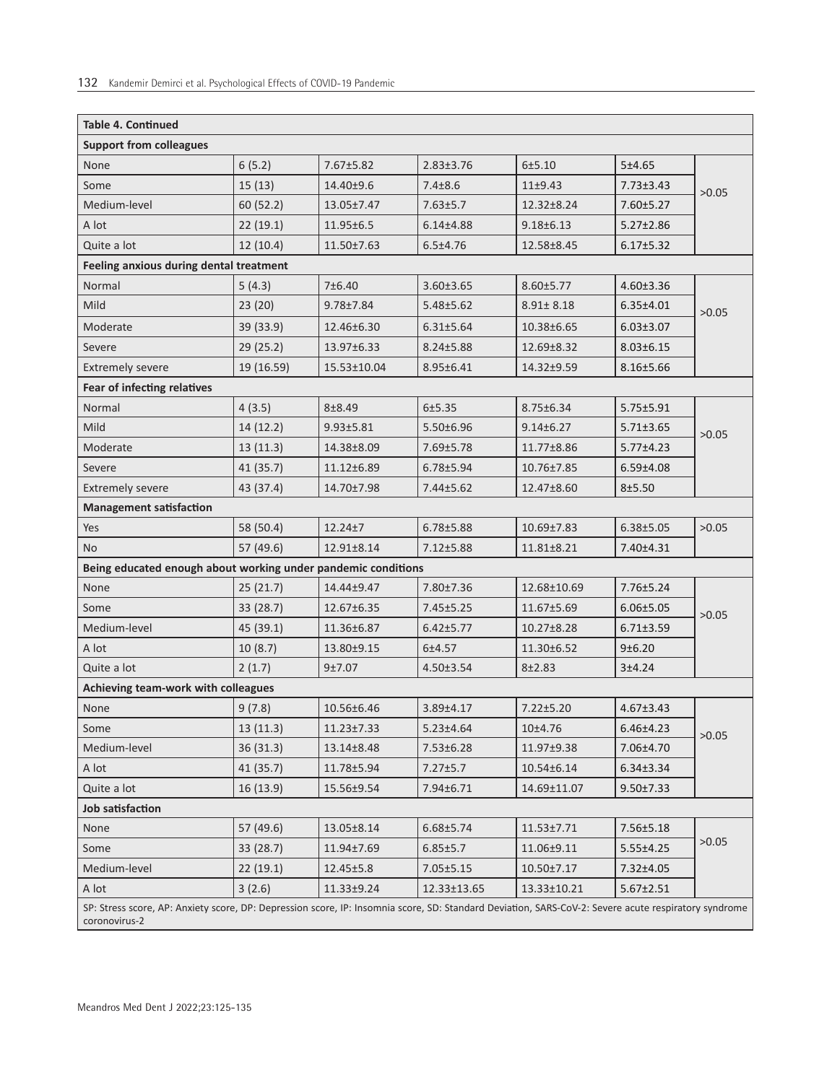| <b>Table 4. Continued</b>                                                                                                                                             |            |                  |                 |                  |                 |       |  |
|-----------------------------------------------------------------------------------------------------------------------------------------------------------------------|------------|------------------|-----------------|------------------|-----------------|-------|--|
| <b>Support from colleagues</b>                                                                                                                                        |            |                  |                 |                  |                 |       |  |
| None                                                                                                                                                                  | 6(5.2)     | 7.67±5.82        | $2.83 \pm 3.76$ | 6±5.10           | 5±4.65          |       |  |
| Some                                                                                                                                                                  | 15(13)     | 14.40±9.6        | $7.4 \pm 8.6$   | $11+9.43$        | $7.73 \pm 3.43$ | >0.05 |  |
| Medium-level                                                                                                                                                          | 60 (52.2)  | 13.05±7.47       | $7.63 \pm 5.7$  | 12.32±8.24       | 7.60±5.27       |       |  |
| A lot                                                                                                                                                                 | 22(19.1)   | 11.95±6.5        | $6.14{\pm}4.88$ | $9.18 \pm 6.13$  | $5.27 \pm 2.86$ |       |  |
| Quite a lot                                                                                                                                                           | 12(10.4)   | 11.50±7.63       | $6.5 + 4.76$    | 12.58±8.45       | $6.17 \pm 5.32$ |       |  |
| Feeling anxious during dental treatment                                                                                                                               |            |                  |                 |                  |                 |       |  |
| Normal                                                                                                                                                                | 5(4.3)     | 7±6.40           | $3.60 \pm 3.65$ | 8.60±5.77        | $4.60 \pm 3.36$ |       |  |
| Mild                                                                                                                                                                  | 23(20)     | $9.78 \pm 7.84$  | $5.48 \pm 5.62$ | $8.91 \pm 8.18$  | $6.35 \pm 4.01$ | >0.05 |  |
| Moderate                                                                                                                                                              | 39 (33.9)  | 12.46±6.30       | $6.31 \pm 5.64$ | 10.38±6.65       | $6.03 \pm 3.07$ |       |  |
| Severe                                                                                                                                                                | 29 (25.2)  | $13.97 \pm 6.33$ | $8.24 \pm 5.88$ | 12.69±8.32       | $8.03 \pm 6.15$ |       |  |
| <b>Extremely severe</b>                                                                                                                                               | 19 (16.59) | 15.53±10.04      | 8.95±6.41       | 14.32±9.59       | $8.16 \pm 5.66$ |       |  |
| Fear of infecting relatives                                                                                                                                           |            |                  |                 |                  |                 |       |  |
| Normal                                                                                                                                                                | 4(3.5)     | 8±8.49           | 6±5.35          | 8.75±6.34        | $5.75 \pm 5.91$ |       |  |
| Mild                                                                                                                                                                  | 14 (12.2)  | $9.93 + 5.81$    | $5.50 \pm 6.96$ | $9.14 \pm 6.27$  | $5.71 \pm 3.65$ | >0.05 |  |
| Moderate                                                                                                                                                              | 13(11.3)   | 14.38±8.09       | 7.69±5.78       | 11.77±8.86       | $5.77 \pm 4.23$ |       |  |
| Severe                                                                                                                                                                | 41 (35.7)  | 11.12±6.89       | $6.78 + 5.94$   | 10.76±7.85       | $6.59{\pm}4.08$ |       |  |
| <b>Extremely severe</b>                                                                                                                                               | 43 (37.4)  | 14.70±7.98       | 7.44±5.62       | 12.47±8.60       | $8 + 5.50$      |       |  |
| <b>Management satisfaction</b>                                                                                                                                        |            |                  |                 |                  |                 |       |  |
| Yes                                                                                                                                                                   | 58 (50.4)  | $12.24 + 7$      | $6.78 + 5.88$   | 10.69±7.83       | $6.38 \pm 5.05$ | >0.05 |  |
| No                                                                                                                                                                    | 57 (49.6)  | 12.91±8.14       | $7.12 \pm 5.88$ | $11.81 \pm 8.21$ | 7.40±4.31       |       |  |
| Being educated enough about working under pandemic conditions                                                                                                         |            |                  |                 |                  |                 |       |  |
| None                                                                                                                                                                  | 25(21.7)   | 14.44±9.47       | 7.80±7.36       | 12.68±10.69      | $7.76 \pm 5.24$ |       |  |
| Some                                                                                                                                                                  | 33 (28.7)  | 12.67±6.35       | 7.45±5.25       | 11.67±5.69       | $6.06 \pm 5.05$ | >0.05 |  |
| Medium-level                                                                                                                                                          | 45 (39.1)  | 11.36±6.87       | $6.42 \pm 5.77$ | $10.27 \pm 8.28$ | $6.71 \pm 3.59$ |       |  |
| A lot                                                                                                                                                                 | 10(8.7)    | 13.80±9.15       | $6 + 4.57$      | 11.30±6.52       | 9±6.20          |       |  |
| Quite a lot                                                                                                                                                           | 2(1.7)     | 9±7.07           | $4.50 \pm 3.54$ | $8 + 2.83$       | 3±4.24          |       |  |
| Achieving team-work with colleagues                                                                                                                                   |            |                  |                 |                  |                 |       |  |
| None                                                                                                                                                                  | 9(7.8)     | 10.56±6.46       | $3.89 + 4.17$   | $7.22 \pm 5.20$  | $4.67 \pm 3.43$ | >0.05 |  |
| Some                                                                                                                                                                  | 13(11.3)   | 11.23±7.33       | $5.23 \pm 4.64$ | 10±4.76          | $6.46 \pm 4.23$ |       |  |
| Medium-level                                                                                                                                                          | 36(31.3)   | 13.14±8.48       | 7.53±6.28       | 11.97±9.38       | 7.06±4.70       |       |  |
| A lot                                                                                                                                                                 | 41 (35.7)  | 11.78±5.94       | $7.27 \pm 5.7$  | 10.54±6.14       | $6.34 \pm 3.34$ |       |  |
| Quite a lot                                                                                                                                                           | 16(13.9)   | 15.56±9.54       | 7.94±6.71       | 14.69±11.07      | $9.50 \pm 7.33$ |       |  |
| Job satisfaction                                                                                                                                                      |            |                  |                 |                  |                 |       |  |
| None                                                                                                                                                                  | 57 (49.6)  | 13.05±8.14       | 6.68±5.74       | 11.53±7.71       | 7.56±5.18       | >0.05 |  |
| Some                                                                                                                                                                  | 33 (28.7)  | 11.94±7.69       | $6.85 \pm 5.7$  | 11.06±9.11       | $5.55 \pm 4.25$ |       |  |
| Medium-level                                                                                                                                                          | 22(19.1)   | $12.45 \pm 5.8$  | $7.05 \pm 5.15$ | 10.50±7.17       | 7.32±4.05       |       |  |
| A lot                                                                                                                                                                 | 3(2.6)     | 11.33±9.24       | 12.33±13.65     | 13.33±10.21      | $5.67 \pm 2.51$ |       |  |
| SP: Stress score, AP: Anxiety score, DP: Depression score, IP: Insomnia score, SD: Standard Deviation, SARS-CoV-2: Severe acute respiratory syndrome<br>coronovirus-2 |            |                  |                 |                  |                 |       |  |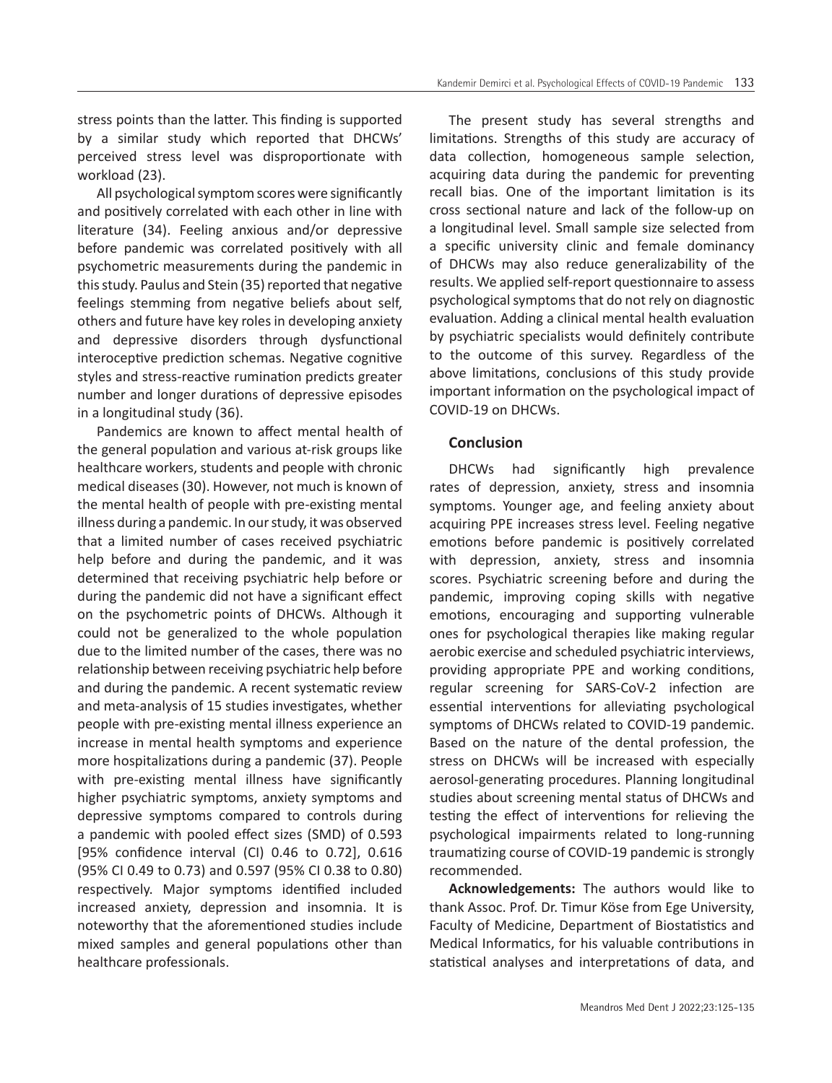stress points than the latter. This finding is supported by a similar study which reported that DHCWs' perceived stress level was disproportionate with workload (23).

All psychological symptom scores were significantly and positively correlated with each other in line with literature (34). Feeling anxious and/or depressive before pandemic was correlated positively with all psychometric measurements during the pandemic in this study. Paulus and Stein (35) reported that negative feelings stemming from negative beliefs about self, others and future have key roles in developing anxiety and depressive disorders through dysfunctional interoceptive prediction schemas. Negative cognitive styles and stress-reactive rumination predicts greater number and longer durations of depressive episodes in a longitudinal study (36).

Pandemics are known to affect mental health of the general population and various at-risk groups like healthcare workers, students and people with chronic medical diseases (30). However, not much is known of the mental health of people with pre-existing mental illness during a pandemic. In our study, it was observed that a limited number of cases received psychiatric help before and during the pandemic, and it was determined that receiving psychiatric help before or during the pandemic did not have a significant effect on the psychometric points of DHCWs. Although it could not be generalized to the whole population due to the limited number of the cases, there was no relationship between receiving psychiatric help before and during the pandemic. A recent systematic review and meta-analysis of 15 studies investigates, whether people with pre-existing mental illness experience an increase in mental health symptoms and experience more hospitalizations during a pandemic (37). People with pre-existing mental illness have significantly higher psychiatric symptoms, anxiety symptoms and depressive symptoms compared to controls during a pandemic with pooled effect sizes (SMD) of 0.593 [95% confidence interval (CI) 0.46 to 0.72], 0.616 (95% CI 0.49 to 0.73) and 0.597 (95% CI 0.38 to 0.80) respectively. Major symptoms identified included increased anxiety, depression and insomnia. It is noteworthy that the aforementioned studies include mixed samples and general populations other than healthcare professionals.

The present study has several strengths and limitations. Strengths of this study are accuracy of data collection, homogeneous sample selection, acquiring data during the pandemic for preventing recall bias. One of the important limitation is its cross sectional nature and lack of the follow-up on a longitudinal level. Small sample size selected from a specific university clinic and female dominancy of DHCWs may also reduce generalizability of the results. We applied self-report questionnaire to assess psychological symptoms that do not rely on diagnostic evaluation. Adding a clinical mental health evaluation by psychiatric specialists would definitely contribute to the outcome of this survey. Regardless of the above limitations, conclusions of this study provide important information on the psychological impact of COVID-19 on DHCWs.

# **Conclusion**

DHCWs had significantly high prevalence rates of depression, anxiety, stress and insomnia symptoms. Younger age, and feeling anxiety about acquiring PPE increases stress level. Feeling negative emotions before pandemic is positively correlated with depression, anxiety, stress and insomnia scores. Psychiatric screening before and during the pandemic, improving coping skills with negative emotions, encouraging and supporting vulnerable ones for psychological therapies like making regular aerobic exercise and scheduled psychiatric interviews, providing appropriate PPE and working conditions, regular screening for SARS-CoV-2 infection are essential interventions for alleviating psychological symptoms of DHCWs related to COVID-19 pandemic. Based on the nature of the dental profession, the stress on DHCWs will be increased with especially aerosol-generating procedures. Planning longitudinal studies about screening mental status of DHCWs and testing the effect of interventions for relieving the psychological impairments related to long-running traumatizing course of COVID-19 pandemic is strongly recommended.

**Acknowledgements:** The authors would like to thank Assoc. Prof. Dr. Timur Köse from Ege University, Faculty of Medicine, Department of Biostatistics and Medical Informatics, for his valuable contributions in statistical analyses and interpretations of data, and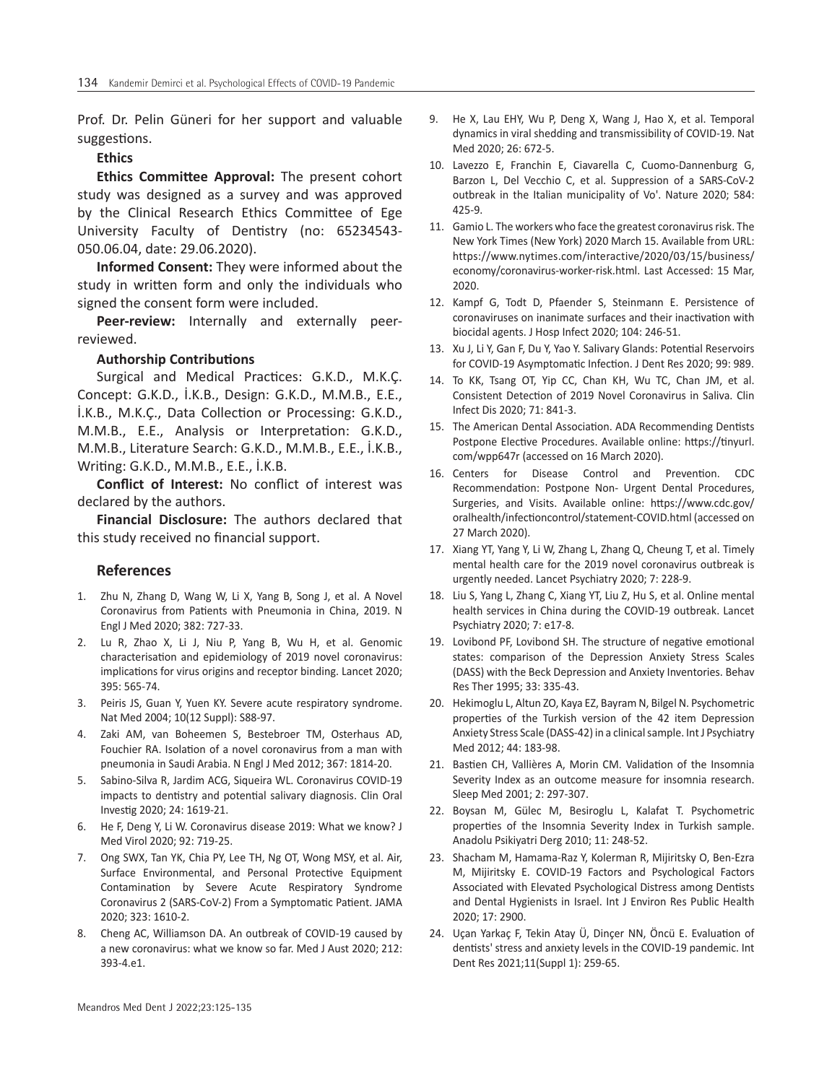Prof. Dr. Pelin Güneri for her support and valuable suggestions.

#### **Ethics**

**Ethics Committee Approval:** The present cohort study was designed as a survey and was approved by the Clinical Research Ethics Committee of Ege University Faculty of Dentistry (no: 65234543- 050.06.04, date: 29.06.2020).

**Informed Consent:** They were informed about the study in written form and only the individuals who signed the consent form were included.

**Peer-review:** Internally and externally peerreviewed.

#### **Authorship Contributions**

Surgical and Medical Practices: G.K.D., M.K.Ç. Concept: G.K.D., İ.K.B., Design: G.K.D., M.M.B., E.E., İ.K.B., M.K.Ç., Data Collection or Processing: G.K.D., M.M.B., E.E., Analysis or Interpretation: G.K.D., M.M.B., Literature Search: G.K.D., M.M.B., E.E., İ.K.B., Writing: G.K.D., M.M.B., E.E., İ.K.B.

**Conflict of Interest:** No conflict of interest was declared by the authors.

**Financial Disclosure:** The authors declared that this study received no financial support.

#### **References**

- 1. Zhu N, Zhang D, Wang W, Li X, Yang B, Song J, et al. A Novel Coronavirus from Patients with Pneumonia in China, 2019. N Engl J Med 2020; 382: 727-33.
- 2. Lu R, Zhao X, Li J, Niu P, Yang B, Wu H, et al. Genomic characterisation and epidemiology of 2019 novel coronavirus: implications for virus origins and receptor binding. Lancet 2020; 395: 565-74.
- 3. Peiris JS, Guan Y, Yuen KY. Severe acute respiratory syndrome. Nat Med 2004; 10(12 Suppl): S88-97.
- 4. Zaki AM, van Boheemen S, Bestebroer TM, Osterhaus AD, Fouchier RA. Isolation of a novel coronavirus from a man with pneumonia in Saudi Arabia. N Engl J Med 2012; 367: 1814-20.
- 5. Sabino-Silva R, Jardim ACG, Siqueira WL. Coronavirus COVID-19 impacts to dentistry and potential salivary diagnosis. Clin Oral Investig 2020; 24: 1619-21.
- 6. He F, Deng Y, Li W. Coronavirus disease 2019: What we know? J Med Virol 2020; 92: 719-25.
- 7. Ong SWX, Tan YK, Chia PY, Lee TH, Ng OT, Wong MSY, et al. Air, Surface Environmental, and Personal Protective Equipment Contamination by Severe Acute Respiratory Syndrome Coronavirus 2 (SARS-CoV-2) From a Symptomatic Patient. JAMA 2020; 323: 1610-2.
- 8. Cheng AC, Williamson DA. An outbreak of COVID-19 caused by a new coronavirus: what we know so far. Med J Aust 2020; 212: 393-4.e1.
- 9. He X, Lau EHY, Wu P, Deng X, Wang J, Hao X, et al. Temporal dynamics in viral shedding and transmissibility of COVID-19. Nat Med 2020; 26: 672-5.
- 10. Lavezzo E, Franchin E, Ciavarella C, Cuomo-Dannenburg G, Barzon L, Del Vecchio C, et al. Suppression of a SARS-CoV-2 outbreak in the Italian municipality of Vo'. Nature 2020; 584: 425-9.
- 11. Gamio L. The workers who face the greatest coronavirus risk. The New York Times (New York) 2020 March 15. Available from URL: https://www.nytimes.com/interactive/2020/03/15/business/ economy/coronavirus-worker-risk.html. Last Accessed: 15 Mar, 2020.
- 12. Kampf G, Todt D, Pfaender S, Steinmann E. Persistence of coronaviruses on inanimate surfaces and their inactivation with biocidal agents. J Hosp Infect 2020; 104: 246-51.
- 13. Xu J, Li Y, Gan F, Du Y, Yao Y. Salivary Glands: Potential Reservoirs for COVID-19 Asymptomatic Infection. J Dent Res 2020; 99: 989.
- 14. To KK, Tsang OT, Yip CC, Chan KH, Wu TC, Chan JM, et al. Consistent Detection of 2019 Novel Coronavirus in Saliva. Clin Infect Dis 2020; 71: 841-3.
- 15. The American Dental Association. ADA Recommending Dentists Postpone Elective Procedures. Available online: https://tinyurl. com/wpp647r (accessed on 16 March 2020).
- 16. Centers for Disease Control and Prevention. CDC Recommendation: Postpone Non- Urgent Dental Procedures, Surgeries, and Visits. Available online: https://www.cdc.gov/ oralhealth/infectioncontrol/statement-COVID.html (accessed on 27 March 2020).
- 17. Xiang YT, Yang Y, Li W, Zhang L, Zhang Q, Cheung T, et al. Timely mental health care for the 2019 novel coronavirus outbreak is urgently needed. Lancet Psychiatry 2020; 7: 228-9.
- 18. Liu S, Yang L, Zhang C, Xiang YT, Liu Z, Hu S, et al. Online mental health services in China during the COVID-19 outbreak. Lancet Psychiatry 2020; 7: e17-8.
- 19. Lovibond PF, Lovibond SH. The structure of negative emotional states: comparison of the Depression Anxiety Stress Scales (DASS) with the Beck Depression and Anxiety Inventories. Behav Res Ther 1995; 33: 335-43.
- 20. Hekimoglu L, Altun ZO, Kaya EZ, Bayram N, Bilgel N. Psychometric properties of the Turkish version of the 42 item Depression Anxiety Stress Scale (DASS-42) in a clinical sample. Int J Psychiatry Med 2012; 44: 183-98.
- 21. Bastien CH, Vallières A, Morin CM. Validation of the Insomnia Severity Index as an outcome measure for insomnia research. Sleep Med 2001; 2: 297-307.
- 22. Boysan M, Gülec M, Besiroglu L, Kalafat T. Psychometric properties of the Insomnia Severity Index in Turkish sample. Anadolu Psikiyatri Derg 2010; 11: 248-52.
- 23. Shacham M, Hamama-Raz Y, Kolerman R, Mijiritsky O, Ben-Ezra M, Mijiritsky E. COVID-19 Factors and Psychological Factors Associated with Elevated Psychological Distress among Dentists and Dental Hygienists in Israel. Int J Environ Res Public Health 2020; 17: 2900.
- 24. Uçan Yarkaç F, Tekin Atay Ü, Dinçer NN, Öncü E. Evaluation of dentists' stress and anxiety levels in the COVID-19 pandemic. Int Dent Res 2021;11(Suppl 1): 259-65.